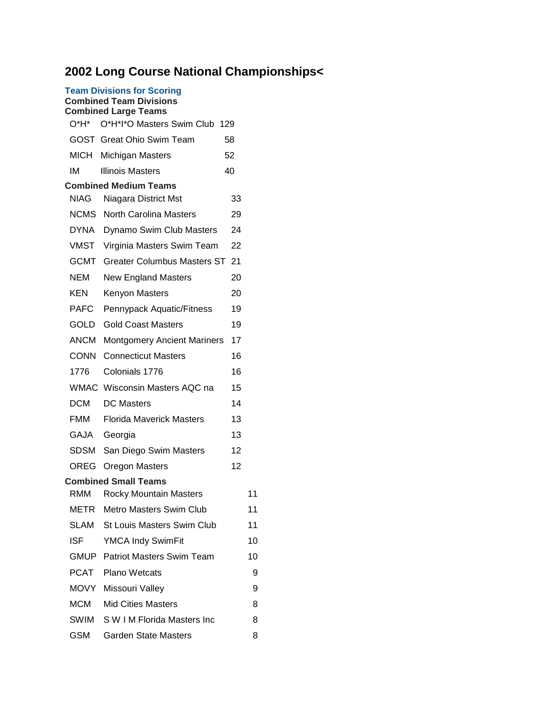## **2002 Long Course National Championships<**

| 2002 Long Course National Cham |                                                                                                    |    |    |
|--------------------------------|----------------------------------------------------------------------------------------------------|----|----|
|                                | <b>Team Divisions for Scoring</b><br><b>Combined Team Divisions</b><br><b>Combined Large Teams</b> |    |    |
| $O^*H^*$                       | O*H*I*O Masters Swim Club 129                                                                      |    |    |
|                                | <b>GOST</b> Great Ohio Swim Team                                                                   | 58 |    |
|                                | MICH Michigan Masters                                                                              | 52 |    |
| IM                             | <b>Illinois Masters</b>                                                                            | 40 |    |
|                                | <b>Combined Medium Teams</b>                                                                       |    |    |
| <b>NIAG</b>                    | Niagara District Mst                                                                               | 33 |    |
| <b>NCMS</b>                    | <b>North Carolina Masters</b>                                                                      | 29 |    |
| <b>DYNA</b>                    | Dynamo Swim Club Masters                                                                           | 24 |    |
| <b>VMST</b>                    | Virginia Masters Swim Team                                                                         | 22 |    |
| <b>GCMT</b>                    | <b>Greater Columbus Masters ST</b>                                                                 | 21 |    |
| NEM                            | <b>New England Masters</b>                                                                         | 20 |    |
| <b>KEN</b>                     | Kenyon Masters                                                                                     | 20 |    |
| <b>PAFC</b>                    | Pennypack Aquatic/Fitness                                                                          | 19 |    |
| GOLD                           | <b>Gold Coast Masters</b>                                                                          | 19 |    |
| <b>ANCM</b>                    | <b>Montgomery Ancient Mariners</b>                                                                 | 17 |    |
| <b>CONN</b>                    | <b>Connecticut Masters</b>                                                                         | 16 |    |
| 1776                           | Colonials 1776                                                                                     | 16 |    |
|                                | WMAC Wisconsin Masters AQC na                                                                      | 15 |    |
| <b>DCM</b>                     | <b>DC Masters</b>                                                                                  | 14 |    |
| <b>FMM</b>                     | <b>Florida Maverick Masters</b>                                                                    | 13 |    |
| GAJA                           | Georgia                                                                                            | 13 |    |
| <b>SDSM</b>                    | San Diego Swim Masters                                                                             | 12 |    |
|                                | <b>OREG</b> Oregon Masters                                                                         | 12 |    |
|                                | <b>Combined Small Teams</b>                                                                        |    |    |
| RMM                            | <b>Rocky Mountain Masters</b>                                                                      |    | 11 |
| METR                           | Metro Masters Swim Club                                                                            |    | 11 |
|                                | <b>SLAM</b> St Louis Masters Swim Club                                                             |    | 11 |
| ISF.                           | <b>YMCA Indy SwimFit</b>                                                                           |    | 10 |
|                                | <b>GMUP</b> Patriot Masters Swim Team                                                              |    | 10 |
| PCAT                           | <b>Plano Wetcats</b>                                                                               |    | 9  |
| MOVY                           | Missouri Valley                                                                                    |    | 9  |
| <b>MCM</b>                     | <b>Mid Cities Masters</b>                                                                          |    | 8  |
| SWIM                           | S W I M Florida Masters Inc                                                                        |    | 8  |

GSM Garden State Masters 8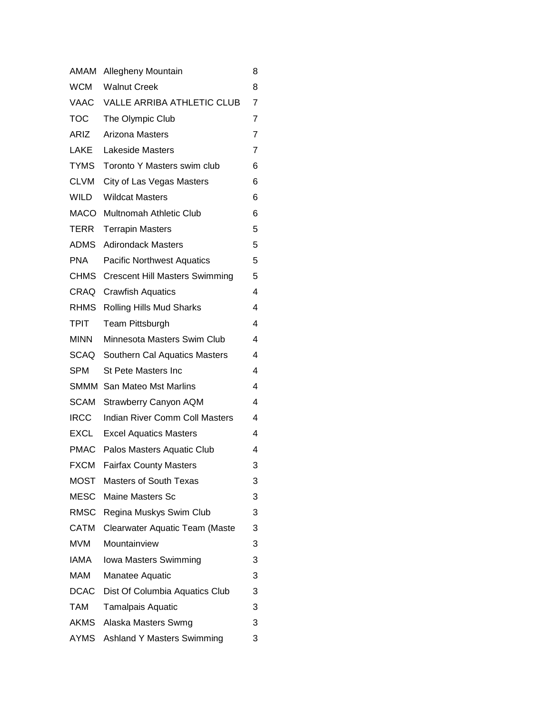| AMAM        | Allegheny Mountain                    | 8              |
|-------------|---------------------------------------|----------------|
| <b>WCM</b>  | <b>Walnut Creek</b>                   | 8              |
| VAAC        | <b>VALLE ARRIBA ATHLETIC CLUB</b>     | $\overline{7}$ |
| <b>TOC</b>  | The Olympic Club                      | 7              |
| ARIZ        | <b>Arizona Masters</b>                | $\overline{7}$ |
| LAKE        | <b>Lakeside Masters</b>               | 7              |
| <b>TYMS</b> | Toronto Y Masters swim club           | 6              |
| <b>CLVM</b> | City of Las Vegas Masters             | 6              |
| WILD        | <b>Wildcat Masters</b>                | 6              |
| MACO        | Multnomah Athletic Club               | 6              |
| TERR        | <b>Terrapin Masters</b>               | 5              |
| ADMS        | <b>Adirondack Masters</b>             | 5              |
| <b>PNA</b>  | <b>Pacific Northwest Aquatics</b>     | 5              |
| CHMS        | <b>Crescent Hill Masters Swimming</b> | 5              |
| CRAQ        | <b>Crawfish Aquatics</b>              | 4              |
| <b>RHMS</b> | Rolling Hills Mud Sharks              | 4              |
| TPIT        | Team Pittsburgh                       | 4              |
| <b>MINN</b> | Minnesota Masters Swim Club           | 4              |
| SCAQ        | Southern Cal Aquatics Masters         | 4              |
| <b>SPM</b>  | St Pete Masters Inc                   | 4              |
|             | <b>SMMM</b> San Mateo Mst Marlins     | 4              |
| SCAM        | <b>Strawberry Canyon AQM</b>          | 4              |
| <b>IRCC</b> | <b>Indian River Comm Coll Masters</b> | 4              |
| EXCL        | <b>Excel Aquatics Masters</b>         | 4              |
|             | PMAC Palos Masters Aquatic Club       | 4              |
| <b>FXCM</b> | <b>Fairfax County Masters</b>         | 3              |
| <b>MOST</b> | <b>Masters of South Texas</b>         | 3              |
| <b>MESC</b> | Maine Masters Sc                      | 3              |
| <b>RMSC</b> | Regina Muskys Swim Club               | 3              |
| <b>CATM</b> | Clearwater Aquatic Team (Maste        | 3              |
| MVM         | Mountainview                          | 3              |
| IAMA        | Iowa Masters Swimming                 | 3              |
| MAM         | Manatee Aquatic                       | 3              |
| <b>DCAC</b> | Dist Of Columbia Aquatics Club        | 3              |
| <b>TAM</b>  | <b>Tamalpais Aquatic</b>              | 3              |
|             | AKMS Alaska Masters Swmg              | 3              |
| AYMS        | <b>Ashland Y Masters Swimming</b>     | 3              |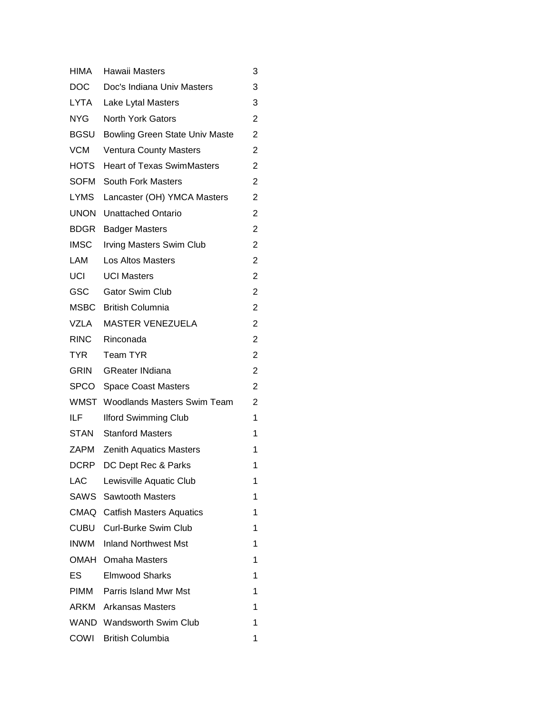| <b>HIMA</b> | Hawaii Masters                        | 3              |
|-------------|---------------------------------------|----------------|
| DOC .       | Doc's Indiana Univ Masters            | 3              |
| LYTA        | Lake Lytal Masters                    | 3              |
| NYG.        | <b>North York Gators</b>              | 2              |
| <b>BGSU</b> | <b>Bowling Green State Univ Maste</b> | 2              |
| <b>VCM</b>  | <b>Ventura County Masters</b>         | 2              |
| HOTS        | <b>Heart of Texas SwimMasters</b>     | 2              |
| <b>SOFM</b> | <b>South Fork Masters</b>             | 2              |
| <b>LYMS</b> | Lancaster (OH) YMCA Masters           | 2              |
| <b>UNON</b> | <b>Unattached Ontario</b>             | $\overline{c}$ |
| <b>BDGR</b> | <b>Badger Masters</b>                 | 2              |
| <b>IMSC</b> | <b>Irving Masters Swim Club</b>       | 2              |
| LAM         | Los Altos Masters                     | 2              |
| UCI         | <b>UCI Masters</b>                    | 2              |
| <b>GSC</b>  | <b>Gator Swim Club</b>                | 2              |
| MSBC        | <b>British Columnia</b>               | 2              |
| VZLA        | <b>MASTER VENEZUELA</b>               | 2              |
| RINC        | Rinconada                             | 2              |
| TYR         | <b>Team TYR</b>                       | 2              |
| <b>GRIN</b> | <b>GReater INdiana</b>                | 2              |
| SPCO        | <b>Space Coast Masters</b>            | 2              |
| WMST        | <b>Woodlands Masters Swim Team</b>    | 2              |
| ILF.        | <b>Ilford Swimming Club</b>           | 1              |
| STAN        | <b>Stanford Masters</b>               | 1              |
| ZAPM        | <b>Zenith Aquatics Masters</b>        | 1              |
| DCRP        | DC Dept Rec & Parks                   | 1              |
| LAC.        | Lewisville Aquatic Club               | 1              |
| SAWS        | Sawtooth Masters                      | 1              |
|             | <b>CMAQ</b> Catfish Masters Aquatics  | 1              |
| CUBU        | Curl-Burke Swim Club                  | 1              |
| <b>INWM</b> | <b>Inland Northwest Mst</b>           | 1              |
| OMAH        | <b>Omaha Masters</b>                  | 1              |
| ES.         | <b>Elmwood Sharks</b>                 | 1              |
| PIMM        | <b>Parris Island Mwr Mst</b>          | 1              |
| ARKM        | Arkansas Masters                      | 1              |
|             | <b>WAND</b> Wandsworth Swim Club      | 1              |
|             | COWI British Columbia                 | 1              |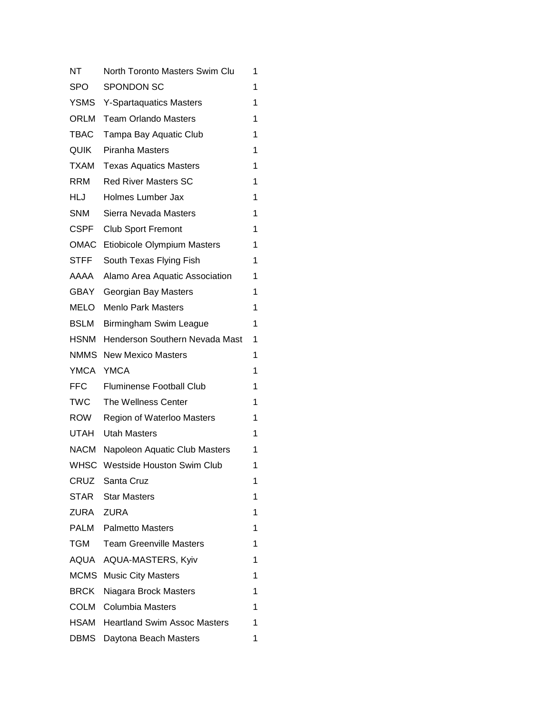| NΤ          | North Toronto Masters Swim Clu      | 1 |
|-------------|-------------------------------------|---|
| SPO         | <b>SPONDON SC</b>                   | 1 |
| <b>YSMS</b> | <b>Y-Spartaquatics Masters</b>      | 1 |
| <b>ORLM</b> | <b>Team Orlando Masters</b>         | 1 |
| TBAC        | Tampa Bay Aquatic Club              | 1 |
| <b>QUIK</b> | Piranha Masters                     | 1 |
| TXAM        | <b>Texas Aquatics Masters</b>       | 1 |
| <b>RRM</b>  | <b>Red River Masters SC</b>         | 1 |
| HLJ         | Holmes Lumber Jax                   | 1 |
| <b>SNM</b>  | Sierra Nevada Masters               | 1 |
| CSPF        | <b>Club Sport Fremont</b>           | 1 |
| OMAC        | Etiobicole Olympium Masters         | 1 |
| <b>STFF</b> | South Texas Flying Fish             | 1 |
| AAAA        | Alamo Area Aquatic Association      | 1 |
| GBAY        | Georgian Bay Masters                | 1 |
| MELO        | <b>Menlo Park Masters</b>           | 1 |
| <b>BSLM</b> | Birmingham Swim League              | 1 |
| <b>HSNM</b> | Henderson Southern Nevada Mast      | 1 |
| <b>NMMS</b> | <b>New Mexico Masters</b>           | 1 |
| <b>YMCA</b> | <b>YMCA</b>                         | 1 |
| <b>FFC</b>  | <b>Fluminense Football Club</b>     | 1 |
| TWC         | The Wellness Center                 | 1 |
| ROW         | Region of Waterloo Masters          | 1 |
| UTAH        | <b>Utah Masters</b>                 | 1 |
| NACM        | Napoleon Aquatic Club Masters       | 1 |
| <b>WHSC</b> | Westside Houston Swim Club          | 1 |
|             | CRUZ Santa Cruz                     | 1 |
| STAR        | <b>Star Masters</b>                 | 1 |
| ZURA        | <b>ZURA</b>                         | 1 |
| PALM        | <b>Palmetto Masters</b>             | 1 |
| TGM         | <b>Team Greenville Masters</b>      | 1 |
| AQUA        | AQUA-MASTERS, Kyiv                  | 1 |
| <b>MCMS</b> | <b>Music City Masters</b>           | 1 |
| <b>BRCK</b> | Niagara Brock Masters               | 1 |
| COLM        | Columbia Masters                    | 1 |
| HSAM        | <b>Heartland Swim Assoc Masters</b> | 1 |
| DBMS        | Daytona Beach Masters               | 1 |
|             |                                     |   |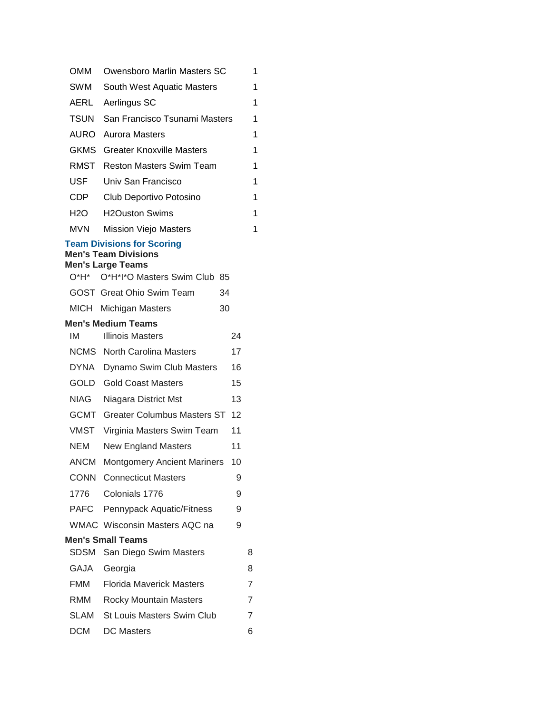| <b>OMM</b>  | Owensboro Marlin Masters SC                                                                                                  |    | 1 |
|-------------|------------------------------------------------------------------------------------------------------------------------------|----|---|
| SWM         | South West Aquatic Masters                                                                                                   |    | 1 |
| AERL        | Aerlingus SC                                                                                                                 |    | 1 |
| TSUN        | San Francisco Tsunami Masters                                                                                                |    | 1 |
|             | <b>AURO</b> Aurora Masters                                                                                                   |    | 1 |
|             | <b>GKMS</b> Greater Knoxville Masters                                                                                        |    | 1 |
|             | <b>RMST</b> Reston Masters Swim Team                                                                                         |    | 1 |
| <b>USF</b>  | Univ San Francisco                                                                                                           |    | 1 |
| CDP         | Club Deportivo Potosino                                                                                                      |    | 1 |
| H2O         | <b>H2Ouston Swims</b>                                                                                                        |    | 1 |
| MVN         | <b>Mission Viejo Masters</b>                                                                                                 |    | 1 |
| O*H*        | <b>Team Divisions for Scoring</b><br><b>Men's Team Divisions</b><br><b>Men's Large Teams</b><br>O*H*I*O Masters Swim Club 85 |    |   |
|             | <b>GOST</b> Great Ohio Swim Team                                                                                             | 34 |   |
|             | MICH Michigan Masters                                                                                                        | 30 |   |
|             | <b>Men's Medium Teams</b>                                                                                                    |    |   |
| IМ          | <b>Illinois Masters</b>                                                                                                      | 24 |   |
|             | <b>NCMS</b> North Carolina Masters                                                                                           | 17 |   |
|             | DYNA Dynamo Swim Club Masters                                                                                                | 16 |   |
|             | <b>GOLD</b> Gold Coast Masters                                                                                               | 15 |   |
| NIAG        | Niagara District Mst                                                                                                         | 13 |   |
|             | <b>GCMT</b> Greater Columbus Masters ST                                                                                      | 12 |   |
| VMST        | Virginia Masters Swim Team                                                                                                   | 11 |   |
| NEM         | <b>New England Masters</b>                                                                                                   | 11 |   |
| <b>ANCM</b> | <b>Montgomery Ancient Mariners</b>                                                                                           | 10 |   |
|             | <b>CONN</b> Connecticut Masters                                                                                              | 9  |   |
| 1776        | Colonials 1776                                                                                                               | 9  |   |
|             | PAFC Pennypack Aquatic/Fitness                                                                                               | 9  |   |
|             | WMAC Wisconsin Masters AQC na                                                                                                | 9  |   |
|             | <b>Men's Small Teams</b>                                                                                                     |    |   |
| SDSM        | San Diego Swim Masters                                                                                                       |    | 8 |
| GAJA        | Georgia                                                                                                                      |    | 8 |
| FMM         | <b>Florida Maverick Masters</b>                                                                                              |    | 7 |
| RMM         | <b>Rocky Mountain Masters</b>                                                                                                |    | 7 |
| SLAM        | <b>St Louis Masters Swim Club</b>                                                                                            |    | 7 |
| <b>DCM</b>  | <b>DC</b> Masters                                                                                                            |    | 6 |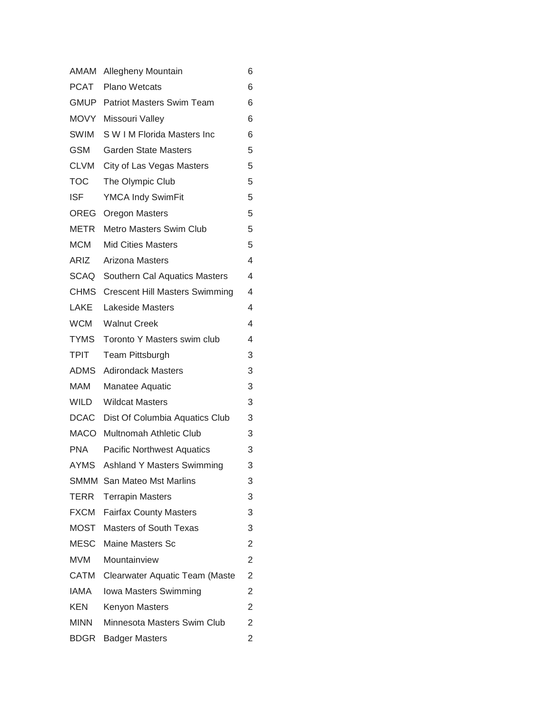| AMAM        | Allegheny Mountain                         | 6              |
|-------------|--------------------------------------------|----------------|
| PCAT        | <b>Plano Wetcats</b>                       | 6              |
| <b>GMUP</b> | <b>Patriot Masters Swim Team</b>           | 6              |
|             | MOVY Missouri Valley                       | 6              |
| <b>SWIM</b> | S W I M Florida Masters Inc                | 6              |
| <b>GSM</b>  | <b>Garden State Masters</b>                | 5              |
| CLVM        | City of Las Vegas Masters                  | 5              |
| <b>TOC</b>  | The Olympic Club                           | 5              |
| <b>ISF</b>  | <b>YMCA Indy SwimFit</b>                   | 5              |
| OREG        | Oregon Masters                             | 5              |
| METR        | <b>Metro Masters Swim Club</b>             | 5              |
| <b>MCM</b>  | <b>Mid Cities Masters</b>                  | 5              |
| ARIZ        | Arizona Masters                            | 4              |
| SCAQ        | Southern Cal Aquatics Masters              | 4              |
|             | <b>CHMS</b> Crescent Hill Masters Swimming | 4              |
| LAKE        | <b>Lakeside Masters</b>                    | 4              |
| <b>WCM</b>  | <b>Walnut Creek</b>                        | 4              |
| <b>TYMS</b> | Toronto Y Masters swim club                | 4              |
| <b>TPIT</b> | Team Pittsburgh                            | 3              |
| ADMS        | <b>Adirondack Masters</b>                  | 3              |
| <b>MAM</b>  | Manatee Aquatic                            | 3              |
| <b>WILD</b> | <b>Wildcat Masters</b>                     | 3              |
|             | DCAC Dist Of Columbia Aquatics Club        | 3              |
|             | MACO Multnomah Athletic Club               | 3              |
| <b>PNA</b>  | <b>Pacific Northwest Aquatics</b>          | 3              |
| <b>AYMS</b> | <b>Ashland Y Masters Swimming</b>          | 3              |
|             | <b>SMMM</b> San Mateo Mst Marlins          | 3              |
| TERR        | <b>Terrapin Masters</b>                    | 3              |
| <b>FXCM</b> | <b>Fairfax County Masters</b>              | 3              |
| <b>MOST</b> | <b>Masters of South Texas</b>              | 3              |
| <b>MESC</b> | <b>Maine Masters Sc</b>                    | 2              |
| MVM         | Mountainview                               | $\overline{2}$ |
| CATM        | Clearwater Aquatic Team (Maste             | $\overline{c}$ |
| <b>IAMA</b> | Iowa Masters Swimming                      | $\overline{c}$ |
| KEN         | <b>Kenyon Masters</b>                      | 2              |
| <b>MINN</b> | Minnesota Masters Swim Club                | $\overline{2}$ |
| <b>BDGR</b> | <b>Badger Masters</b>                      | $\overline{c}$ |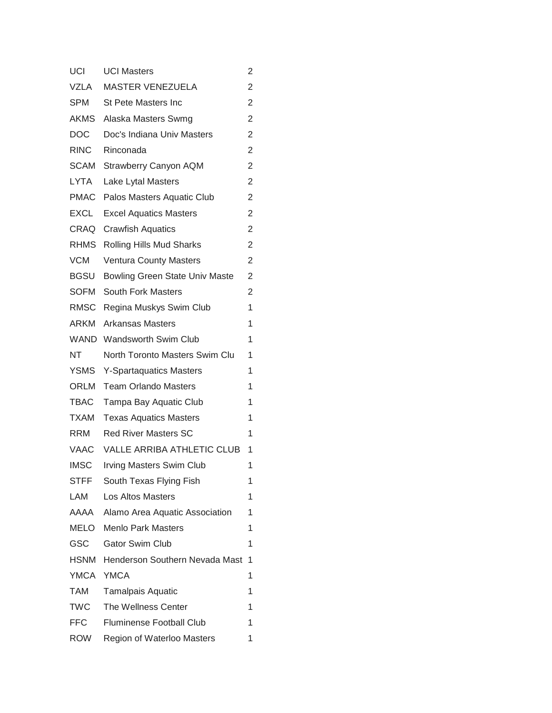| UCI         | <b>UCI Masters</b>                    | 2              |
|-------------|---------------------------------------|----------------|
| <b>VZLA</b> | <b>MASTER VENEZUELA</b>               | 2              |
| <b>SPM</b>  | <b>St Pete Masters Inc</b>            | 2              |
| AKMS        | Alaska Masters Swmg                   | 2              |
| DOC         | Doc's Indiana Univ Masters            | $\overline{c}$ |
| <b>RINC</b> | Rinconada                             | 2              |
| SCAM        | <b>Strawberry Canyon AQM</b>          | 2              |
| <b>LYTA</b> | Lake Lytal Masters                    | 2              |
| <b>PMAC</b> | Palos Masters Aquatic Club            | 2              |
| <b>EXCL</b> | <b>Excel Aquatics Masters</b>         | 2              |
| CRAQ        | <b>Crawfish Aquatics</b>              | 2              |
| RHMS        | Rolling Hills Mud Sharks              | 2              |
| <b>VCM</b>  | <b>Ventura County Masters</b>         | 2              |
| BGSU        | <b>Bowling Green State Univ Maste</b> | 2              |
| <b>SOFM</b> | <b>South Fork Masters</b>             | 2              |
| RMSC        | Regina Muskys Swim Club               | 1              |
| ARKM        | <b>Arkansas Masters</b>               | 1              |
| <b>WAND</b> | <b>Wandsworth Swim Club</b>           | 1              |
| NT          | North Toronto Masters Swim Clu        | 1              |
| <b>YSMS</b> | <b>Y-Spartaquatics Masters</b>        | 1              |
| ORLM        | <b>Team Orlando Masters</b>           | 1              |
| <b>TBAC</b> | Tampa Bay Aquatic Club                | 1              |
| <b>TXAM</b> | <b>Texas Aquatics Masters</b>         | 1              |
| RRM         | <b>Red River Masters SC</b>           | 1              |
| VAAC        | <b>VALLE ARRIBA ATHLETIC CLUB</b>     | 1              |
| <b>IMSC</b> | <b>Irving Masters Swim Club</b>       | 1              |
| <b>STFF</b> | South Texas Flying Fish               | 1              |
| LAM         | Los Altos Masters                     | 1              |
| AAAA        | Alamo Area Aquatic Association        | 1              |
| MELO        | <b>Menlo Park Masters</b>             | 1              |
| GSC         | <b>Gator Swim Club</b>                | 1              |
| <b>HSNM</b> | Henderson Southern Nevada Mast        | 1              |
| YMCA        | <b>YMCA</b>                           | 1              |
| TAM         | <b>Tamalpais Aquatic</b>              | 1              |
| <b>TWC</b>  | The Wellness Center                   | 1              |
| FFC.        | <b>Fluminense Football Club</b>       | 1              |
| ROW         | Region of Waterloo Masters            | 1              |
|             |                                       |                |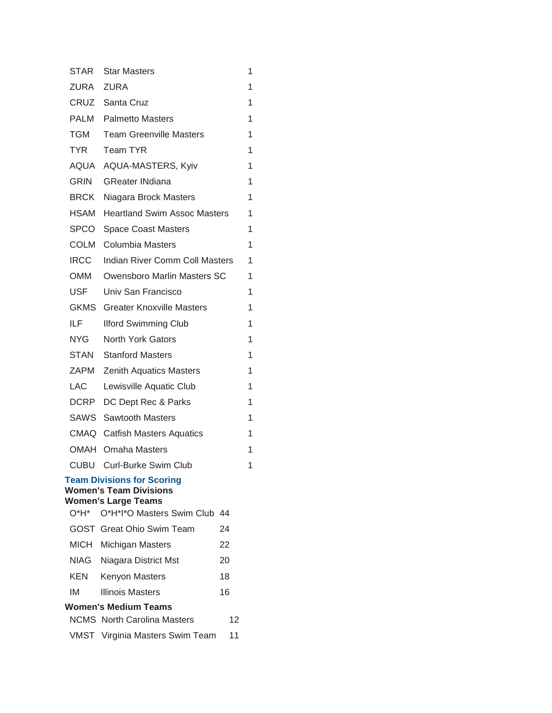| <b>STAR</b> | <b>Star Masters</b>                                                                                                                |    | 1 |
|-------------|------------------------------------------------------------------------------------------------------------------------------------|----|---|
|             | ZURA ZURA                                                                                                                          |    | 1 |
|             | CRUZ Santa Cruz                                                                                                                    |    | 1 |
|             | <b>PALM</b> Palmetto Masters                                                                                                       |    | 1 |
| TGM         | <b>Team Greenville Masters</b>                                                                                                     |    | 1 |
| <b>TYR</b>  | <b>Team TYR</b>                                                                                                                    |    | 1 |
|             | AQUA AQUA-MASTERS, Kyiv                                                                                                            |    | 1 |
| GRIN        | <b>GReater INdiana</b>                                                                                                             |    | 1 |
|             | <b>BRCK</b> Niagara Brock Masters                                                                                                  |    | 1 |
|             | <b>HSAM</b> Heartland Swim Assoc Masters                                                                                           |    | 1 |
| SPCO        | <b>Space Coast Masters</b>                                                                                                         |    | 1 |
| COLM        | <b>Columbia Masters</b>                                                                                                            |    | 1 |
| <b>IRCC</b> | <b>Indian River Comm Coll Masters</b>                                                                                              |    | 1 |
| OMM         | Owensboro Marlin Masters SC                                                                                                        |    | 1 |
| <b>USF</b>  | Univ San Francisco                                                                                                                 |    | 1 |
|             | <b>GKMS</b> Greater Knoxville Masters                                                                                              |    | 1 |
| ILF         | <b>Ilford Swimming Club</b>                                                                                                        |    | 1 |
| NYG I       | <b>North York Gators</b>                                                                                                           |    | 1 |
| STAN        | <b>Stanford Masters</b>                                                                                                            |    | 1 |
| ZAPM        | <b>Zenith Aquatics Masters</b>                                                                                                     |    | 1 |
| <b>LAC</b>  | Lewisville Aquatic Club                                                                                                            |    | 1 |
|             | DCRP DC Dept Rec & Parks                                                                                                           |    | 1 |
|             | <b>SAWS</b> Sawtooth Masters                                                                                                       |    | 1 |
|             | <b>CMAQ</b> Catfish Masters Aquatics                                                                                               |    | 1 |
|             | <b>OMAH</b> Omaha Masters                                                                                                          |    | 1 |
| CUBU        | Curl-Burke Swim Club                                                                                                               |    | 1 |
|             | <b>Team Divisions for Scoring</b><br><b>Women's Team Divisions</b><br><b>Women's Large Teams</b><br>O*H* O*H*I*O Masters Swim Club | 44 |   |
|             | <b>GOST</b> Great Ohio Swim Team                                                                                                   | 24 |   |
| MICH        | Michigan Masters                                                                                                                   | 22 |   |
| NIAG        | Niagara District Mst                                                                                                               | 20 |   |
| KEN         | <b>Kenyon Masters</b>                                                                                                              | 18 |   |
| ΙM          | <b>Illinois Masters</b>                                                                                                            | 16 |   |
|             | Women's Medium Teams                                                                                                               |    |   |
|             | <b>NCMS</b> North Carolina Masters                                                                                                 | 12 |   |
|             | VMST Virginia Masters Swim Team                                                                                                    | 11 |   |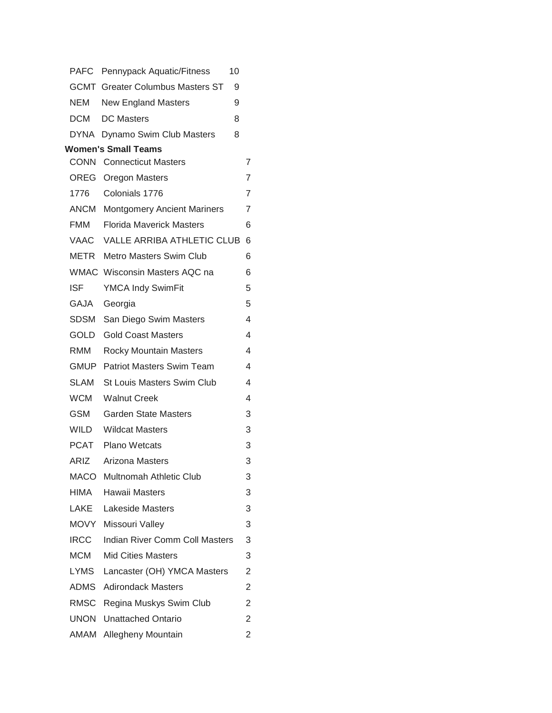|             | PAFC Pennypack Aquatic/Fitness<br>10         |                          |
|-------------|----------------------------------------------|--------------------------|
|             | <b>GCMT</b> Greater Columbus Masters ST<br>9 |                          |
| NEM         | <b>New England Masters</b><br>9              |                          |
| DCM         | <b>DC</b> Masters<br>8                       |                          |
|             | DYNA Dynamo Swim Club Masters<br>8           |                          |
|             | <b>Women's Small Teams</b>                   |                          |
|             | <b>CONN</b> Connecticut Masters              | 7                        |
|             | <b>OREG</b> Oregon Masters                   | 7                        |
| 1776        | Colonials 1776                               | $\overline{7}$           |
|             | <b>ANCM</b> Montgomery Ancient Mariners      | 7                        |
| FMM         | <b>Florida Maverick Masters</b>              | 6                        |
| VAAC        | <b>VALLE ARRIBA ATHLETIC CLUB</b>            | 6                        |
|             | <b>METR</b> Metro Masters Swim Club          | 6                        |
|             | WMAC Wisconsin Masters AQC na                | 6                        |
| <b>ISF</b>  | <b>YMCA Indy SwimFit</b>                     | 5                        |
| GAJA        | Georgia                                      | 5                        |
|             | SDSM San Diego Swim Masters                  | $\overline{4}$           |
| GOLD        | <b>Gold Coast Masters</b>                    | 4                        |
| RMM         | <b>Rocky Mountain Masters</b>                | $\overline{\mathcal{L}}$ |
|             | <b>GMUP</b> Patriot Masters Swim Team        | $\overline{4}$           |
| SLAM        | <b>St Louis Masters Swim Club</b>            | $\overline{\mathcal{L}}$ |
| WCM         | <b>Walnut Creek</b>                          | 4                        |
| GSM         | <b>Garden State Masters</b>                  | 3                        |
| WILD        | <b>Wildcat Masters</b>                       | 3                        |
|             | <b>PCAT</b> Plano Wetcats                    | 3                        |
| ARIZ        | Arizona Masters                              | 3                        |
|             | MACO Multnomah Athletic Club                 | 3                        |
| HIMA        | <b>Hawaii Masters</b>                        | 3                        |
| LAKE        | <b>Lakeside Masters</b>                      | 3                        |
|             | MOVY Missouri Valley                         | 3                        |
| <b>IRCC</b> | Indian River Comm Coll Masters               | 3                        |
| <b>MCM</b>  | <b>Mid Cities Masters</b>                    | 3                        |
| LYMS        | Lancaster (OH) YMCA Masters                  | $\overline{2}$           |
|             | <b>ADMS</b> Adirondack Masters               | $\overline{2}$           |
|             | RMSC Regina Muskys Swim Club                 | 2                        |
|             | <b>UNON</b> Unattached Ontario               | 2                        |
|             | <b>AMAM</b> Allegheny Mountain               | $\overline{c}$           |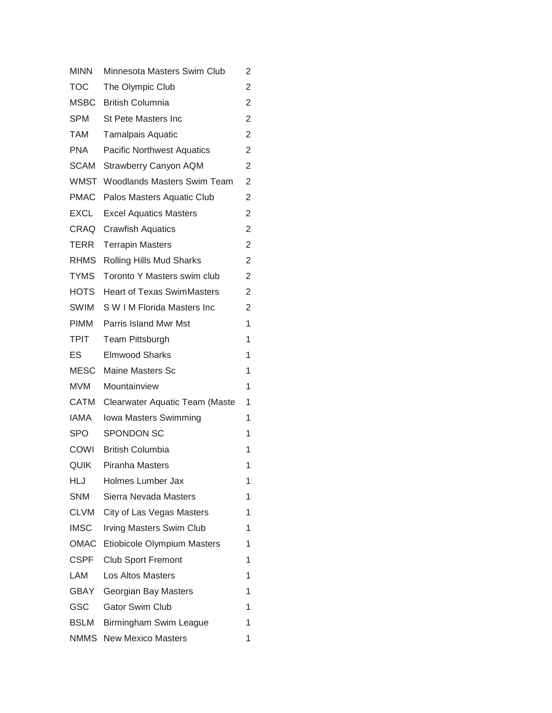| <b>MINN</b> | Minnesota Masters Swim Club        | 2 |
|-------------|------------------------------------|---|
| <b>TOC</b>  | The Olympic Club                   | 2 |
| <b>MSBC</b> | <b>British Columnia</b>            | 2 |
| <b>SPM</b>  | <b>St Pete Masters Inc</b>         | 2 |
| TAM         | <b>Tamalpais Aquatic</b>           | 2 |
| <b>PNA</b>  | <b>Pacific Northwest Aquatics</b>  | 2 |
| <b>SCAM</b> | <b>Strawberry Canyon AQM</b>       | 2 |
| <b>WMST</b> | <b>Woodlands Masters Swim Team</b> | 2 |
| <b>PMAC</b> | Palos Masters Aquatic Club         | 2 |
| <b>EXCL</b> | <b>Excel Aquatics Masters</b>      | 2 |
| CRAQ        | <b>Crawfish Aquatics</b>           | 2 |
| TERR        | <b>Terrapin Masters</b>            | 2 |
| <b>RHMS</b> | Rolling Hills Mud Sharks           | 2 |
| <b>TYMS</b> | Toronto Y Masters swim club        | 2 |
| <b>HOTS</b> | <b>Heart of Texas SwimMasters</b>  | 2 |
| SWIM        | S W I M Florida Masters Inc        | 2 |
| <b>PIMM</b> | Parris Island Mwr Mst              | 1 |
| <b>TPIT</b> | <b>Team Pittsburgh</b>             | 1 |
| ES          | <b>Elmwood Sharks</b>              | 1 |
| <b>MESC</b> | <b>Maine Masters Sc</b>            | 1 |
| <b>MVM</b>  | Mountainview                       | 1 |
| CATM        | Clearwater Aquatic Team (Maste     | 1 |
| IAMA        | Iowa Masters Swimming              | 1 |
| <b>SPO</b>  | <b>SPONDON SC</b>                  | 1 |
| COWI        | <b>British Columbia</b>            | 1 |
| QUIK        | Piranha Masters                    | 1 |
| HLJ         | Holmes Lumber Jax                  | 1 |
| <b>SNM</b>  | Sierra Nevada Masters              | 1 |
| CLVM        | City of Las Vegas Masters          | 1 |
| <b>IMSC</b> | <b>Irving Masters Swim Club</b>    | 1 |
| <b>OMAC</b> | Etiobicole Olympium Masters        | 1 |
| CSPF        | <b>Club Sport Fremont</b>          | 1 |
| LAM         | Los Altos Masters                  | 1 |
| GBAY        | Georgian Bay Masters               | 1 |
| GSC         | <b>Gator Swim Club</b>             | 1 |
| <b>BSLM</b> | Birmingham Swim League             | 1 |
| NMMS        | <b>New Mexico Masters</b>          | 1 |